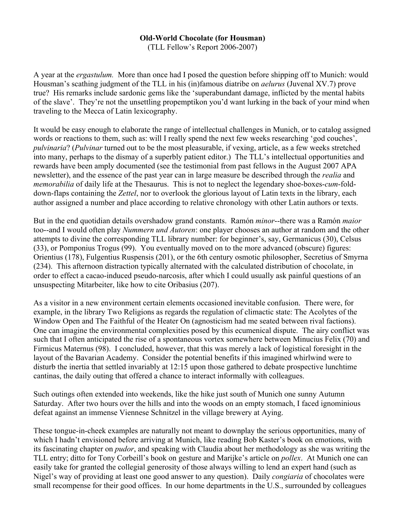## **Old-World Chocolate (for Housman)**

(TLL Fellow's Report 2006-2007)

A year at the *ergastulum.* More than once had I posed the question before shipping off to Munich: would Housman's scathing judgment of the TLL in his (in)famous diatribe on *aelurus* (Juvenal XV.7) prove true? His remarks include sardonic gems like the 'superabundant damage, inflicted by the mental habits of the slave'. They're not the unsettling propemptikon you'd want lurking in the back of your mind when traveling to the Mecca of Latin lexicography.

It would be easy enough to elaborate the range of intellectual challenges in Munich, or to catalog assigned words or reactions to them, such as: will I really spend the next few weeks researching 'god couches', *pulvinaria*? (*Pulvinar* turned out to be the most pleasurable, if vexing, article, as a few weeks stretched into many, perhaps to the dismay of a superbly patient editor.) The TLL's intellectual opportunities and rewards have been amply documented (see the testimonial from past fellows in the August 2007 APA newsletter), and the essence of the past year can in large measure be described through the *realia* and *memorabilia* of daily life at the Thesaurus. This is not to neglect the legendary shoe-boxes-*cum*-folddown-flaps containing the *Zettel*, nor to overlook the glorious layout of Latin texts in the library, each author assigned a number and place according to relative chronology with other Latin authors or texts.

But in the end quotidian details overshadow grand constants. Ramón *minor*--there was a Ramón *maior* too--and I would often play *Nummern und Autoren*: one player chooses an author at random and the other attempts to divine the corresponding TLL library number: for beginner's, say, Germanicus (30), Celsus (33), or Pomponius Trogus (99). You eventually moved on to the more advanced (obscure) figures: Orientius (178), Fulgentius Ruspensis (201), or the 6th century osmotic philosopher, Secretius of Smyrna (234). This afternoon distraction typically alternated with the calculated distribution of chocolate, in order to effect a cacao-induced pseudo-narcosis, after which I could usually ask painful questions of an unsuspecting Mitarbeiter, like how to cite Oribasius (207).

As a visitor in a new environment certain elements occasioned inevitable confusion. There were, for example, in the library Two Religions as regards the regulation of climactic state: The Acolytes of the Window Open and The Faithful of the Heater On (agnosticism had me seated between rival factions). One can imagine the environmental complexities posed by this ecumenical dispute. The airy conflict was such that I often anticipated the rise of a spontaneous vortex somewhere between Minucius Felix (70) and Firmicus Maternus (98). I concluded, however, that this was merely a lack of logistical foresight in the layout of the Bavarian Academy. Consider the potential benefits if this imagined whirlwind were to disturb the inertia that settled invariably at 12:15 upon those gathered to debate prospective lunchtime cantinas, the daily outing that offered a chance to interact informally with colleagues.

Such outings often extended into weekends, like the hike just south of Munich one sunny Autumn Saturday. After two hours over the hills and into the woods on an empty stomach, I faced ignominious defeat against an immense Viennese Schnitzel in the village brewery at Aying.

These tongue-in-cheek examples are naturally not meant to downplay the serious opportunities, many of which I hadn't envisioned before arriving at Munich, like reading Bob Kaster's book on emotions, with its fascinating chapter on *pudor*, and speaking with Claudia about her methodology as she was writing the TLL entry; ditto for Tony Corbeill's book on gesture and Marijke's article on *pollex*. At Munich one can easily take for granted the collegial generosity of those always willing to lend an expert hand (such as Nigel's way of providing at least one good answer to any question). Daily *congiaria* of chocolates were small recompense for their good offices. In our home departments in the U.S., surrounded by colleagues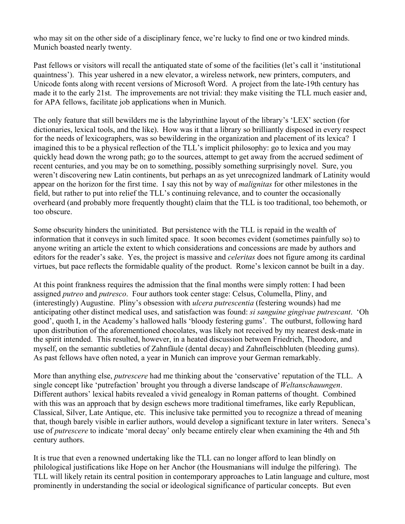who may sit on the other side of a disciplinary fence, we're lucky to find one or two kindred minds. Munich boasted nearly twenty.

Past fellows or visitors will recall the antiquated state of some of the facilities (let's call it 'institutional quaintness'). This year ushered in a new elevator, a wireless network, new printers, computers, and Unicode fonts along with recent versions of Microsoft Word. A project from the late-19th century has made it to the early 21st. The improvements are not trivial: they make visiting the TLL much easier and, for APA fellows, facilitate job applications when in Munich.

The only feature that still bewilders me is the labyrinthine layout of the library's 'LEX' section (for dictionaries, lexical tools, and the like). How was it that a library so brilliantly disposed in every respect for the needs of lexicographers, was so bewildering in the organization and placement of its lexica? I imagined this to be a physical reflection of the TLL's implicit philosophy: go to lexica and you may quickly head down the wrong path; go to the sources, attempt to get away from the accrued sediment of recent centuries, and you may be on to something, possibly something surprisingly novel. Sure, you weren't discovering new Latin continents, but perhaps an as yet unrecognized landmark of Latinity would appear on the horizon for the first time. I say this not by way of *malignitas* for other milestones in the field, but rather to put into relief the TLL's continuing relevance, and to counter the occasionally overheard (and probably more frequently thought) claim that the TLL is too traditional, too behemoth, or too obscure.

Some obscurity hinders the uninitiated. But persistence with the TLL is repaid in the wealth of information that it conveys in such limited space. It soon becomes evident (sometimes painfully so) to anyone writing an article the extent to which considerations and concessions are made by authors and editors for the reader's sake. Yes, the project is massive and *celeritas* does not figure among its cardinal virtues, but pace reflects the formidable quality of the product. Rome's lexicon cannot be built in a day.

At this point frankness requires the admission that the final months were simply rotten: I had been assigned *putreo* and *putresco*. Four authors took center stage: Celsus, Columella, Pliny, and (interestingly) Augustine. Pliny's obsession with *ulcera putrescentia* (festering wounds) had me anticipating other distinct medical uses, and satisfaction was found: *si sanguine gingivae putrescant*. 'Oh good', quoth I, in the Academy's hallowed halls 'bloody festering gums'. The outburst, following hard upon distribution of the aforementioned chocolates, was likely not received by my nearest desk-mate in the spirit intended. This resulted, however, in a heated discussion between Friedrich, Theodore, and myself, on the semantic subtleties of Zahnfäule (dental decay) and Zahnfleischbluten (bleeding gums). As past fellows have often noted, a year in Munich can improve your German remarkably.

More than anything else, *putrescere* had me thinking about the 'conservative' reputation of the TLL. A single concept like 'putrefaction' brought you through a diverse landscape of *Weltanschauungen*. Different authors' lexical habits revealed a vivid genealogy in Roman patterns of thought. Combined with this was an approach that by design eschews more traditional timeframes, like early Republican, Classical, Silver, Late Antique, etc. This inclusive take permitted you to recognize a thread of meaning that, though barely visible in earlier authors, would develop a significant texture in later writers. Seneca's use of *putrescere* to indicate 'moral decay' only became entirely clear when examining the 4th and 5th century authors.

It is true that even a renowned undertaking like the TLL can no longer afford to lean blindly on philological justifications like Hope on her Anchor (the Housmanians will indulge the pilfering). The TLL will likely retain its central position in contemporary approaches to Latin language and culture, most prominently in understanding the social or ideological significance of particular concepts. But even